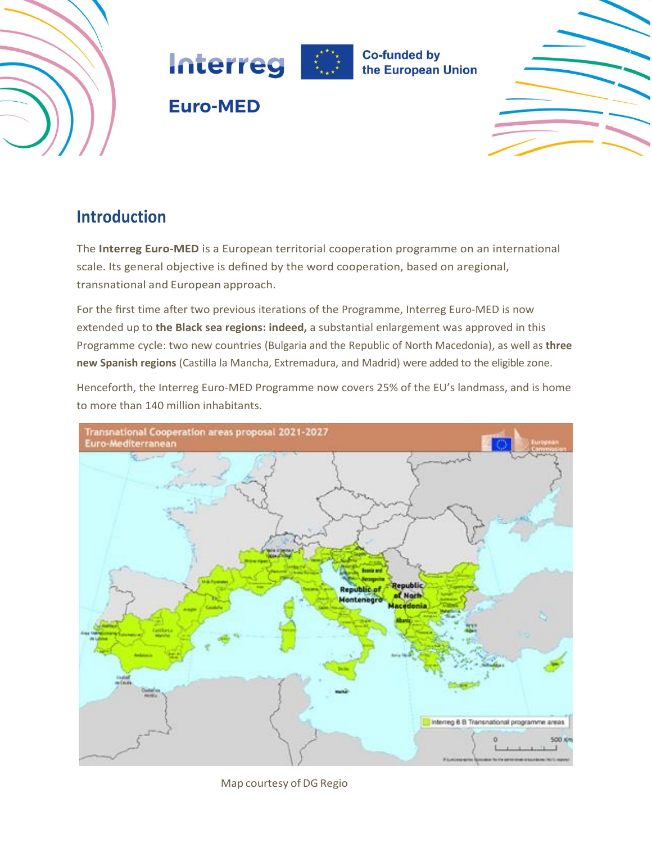



# **Euro-MED**



# **Introduction**

The **Interreg Euro-MED** is a European territorial cooperation programme on an international scale. Its general objective is defined by the word cooperation, based on aregional, transnational and European approach.

For the first time after two previous iterations of the Programme, Interreg Euro-MED is now extended up to **the Black sea regions: indeed,** a substantial enlargement was approved in this Programme cycle: two new countries (Bulgaria and the Republic of North Macedonia), as well as **three new Spanish regions** (Castilla la Mancha, Extremadura, and Madrid) were added to the eligible zone.

Henceforth, the Interreg Euro-MED Programme now covers 25% of the EU's landmass, and is home to more than 140 million inhabitants.



Map courtesy of DG Regio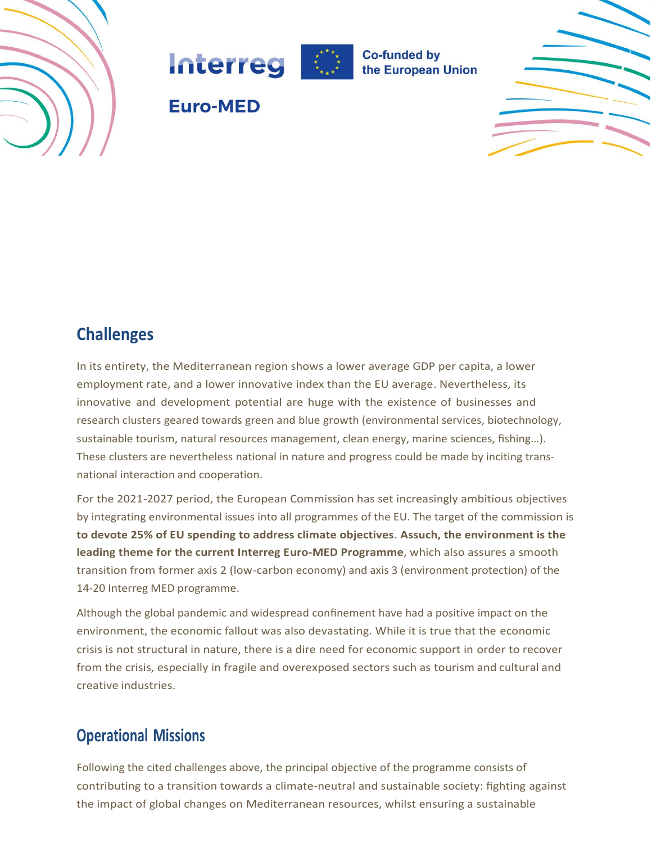





**Euro-MED** 



## **Challenges**

In its entirety, the Mediterranean region shows a lower average GDP per capita, a lower employment rate, and a lower innovative index than the EU average. Nevertheless, its innovative and development potential are huge with the existence of businesses and research clusters geared towards green and blue growth (environmental services, biotechnology, sustainable tourism, natural resources management, clean energy, marine sciences, fishing...). These clusters are nevertheless national in nature and progress could be made by inciting transnational interaction and cooperation.

For the 2021-2027 period, the European Commission has set increasingly ambitious objectives by integrating environmental issues into all programmes of the EU. The target of the commission is **to devote 25% of EU spending to address climate objectives**. **Assuch, the environment is the leading theme for the current Interreg Euro-MED Programme**, which also assures a smooth transition from former axis 2 (low-carbon economy) and axis 3 (environment protection) of the 14-20 Interreg MED programme.

Although the global pandemic and widespread confinement have had a positive impact on the environment, the economic fallout was also devastating. While it is true that the economic crisis is not structural in nature, there is a dire need for economic support in order to recover from the crisis, especially in fragile and overexposed sectors such as tourism and cultural and creative industries.

## **Operational Missions**

Following the cited challenges above, the principal objective of the programme consists of contributing to a transition towards a climate-neutral and sustainable society: fighting against the impact of global changes on Mediterranean resources, whilst ensuring a sustainable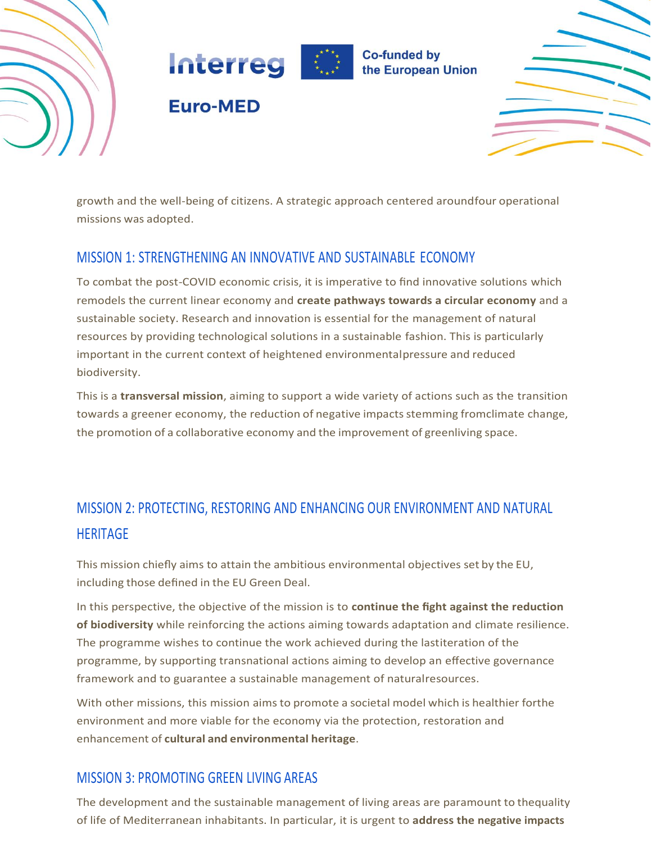





growth and the well-being of citizens. A strategic approach centered aroundfour operational missions was adopted.

### MISSION 1: STRENGTHENING AN INNOVATIVE AND SUSTAINABLE ECONOMY

**Euro-MED** 

To combat the post-COVID economic crisis, it is imperative to find innovative solutions which remodels the current linear economy and **create pathways towards a circular economy** and a sustainable society. Research and innovation is essential for the management of natural resources by providing technological solutions in a sustainable fashion. This is particularly important in the current context of heightened environmentalpressure and reduced biodiversity.

This is a **transversal mission**, aiming to support a wide variety of actions such as the transition towards a greener economy, the reduction of negative impacts stemming fromclimate change, the promotion of a collaborative economy and the improvement of greenliving space.

# MISSION 2: PROTECTING, RESTORING AND ENHANCING OUR ENVIRONMENT AND NATURAL **HERITAGE**

This mission chiefly aims to attain the ambitious environmental objectives set by the EU, including those defined in the EU Green Deal.

In this perspective, the objective of the mission is to **continue the fight against the reduction of biodiversity** while reinforcing the actions aiming towards adaptation and climate resilience. The programme wishes to continue the work achieved during the lastiteration of the programme, by supporting transnational actions aiming to develop an effective governance framework and to guarantee a sustainable management of naturalresources.

With other missions, this mission aimsto promote a societal model which is healthier forthe environment and more viable for the economy via the protection, restoration and enhancement of **cultural and environmental heritage**.

### MISSION 3: PROMOTING GREEN LIVING AREAS

The development and the sustainable management of living areas are paramount to thequality of life of Mediterranean inhabitants. In particular, it is urgent to **address the negative impacts**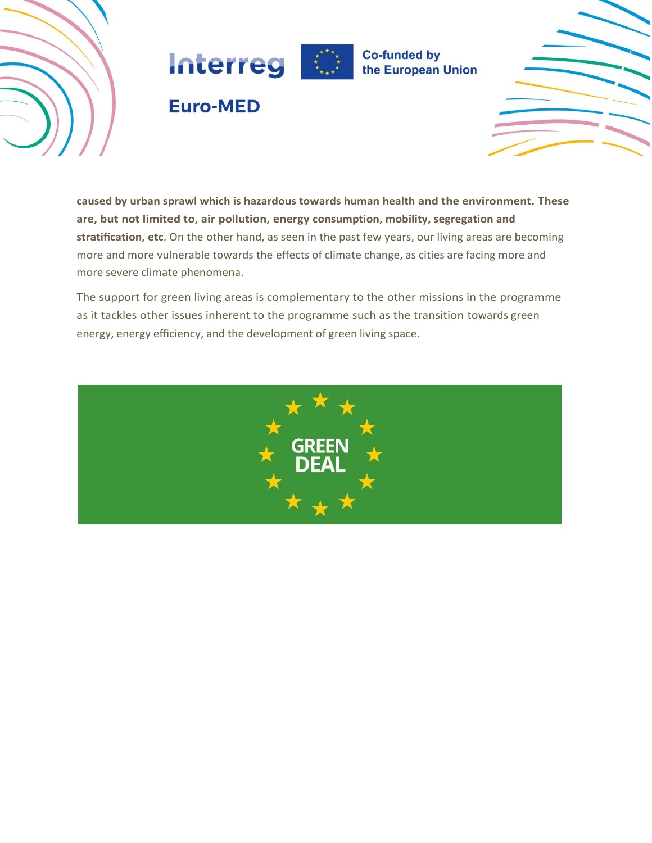



# **Euro-MED**



**caused by urban sprawl which is hazardous towards human health and the environment. These are, but not limited to, air pollution, energy consumption, mobility, segregation and stratification, etc**. On the other hand, as seen in the past few years, our living areas are becoming more and more vulnerable towards the effects of climate change, as cities are facing more and more severe climate phenomena.

The support for green living areas is complementary to the other missions in the programme as it tackles other issues inherent to the programme such as the transition towards green energy, energy efficiency, and the development of green living space.

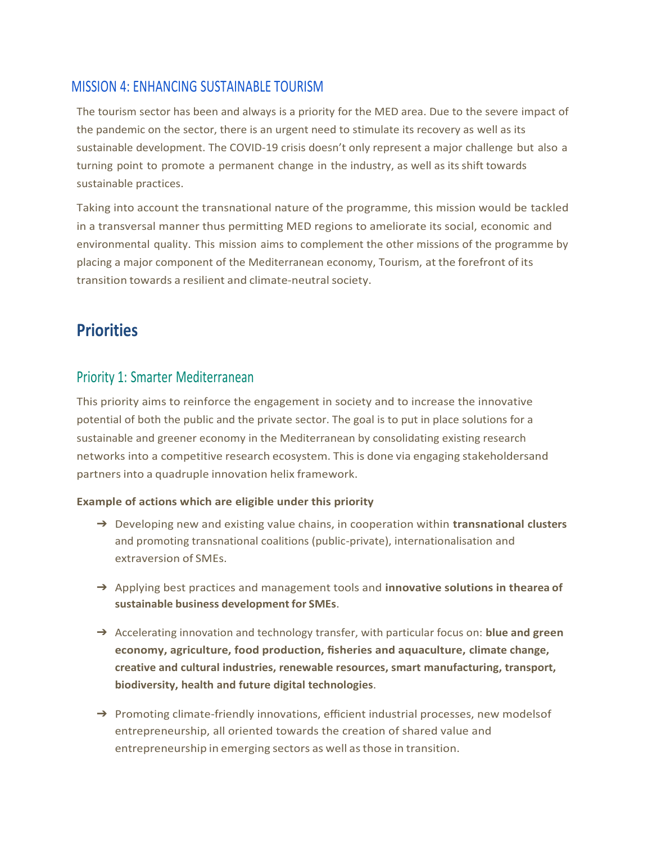### MISSION 4: ENHANCING SUSTAINABLE TOURISM

The tourism sector has been and always is a priority for the MED area. Due to the severe impact of the pandemic on the sector, there is an urgent need to stimulate its recovery as well as its sustainable development. The COVID-19 crisis doesn't only represent a major challenge but also a turning point to promote a permanent change in the industry, as well as its shift towards sustainable practices.

Taking into account the transnational nature of the programme, this mission would be tackled in a transversal manner thus permitting MED regions to ameliorate its social, economic and environmental quality. This mission aims to complement the other missions of the programme by placing a major component of the Mediterranean economy, Tourism, at the forefront of its transition towards a resilient and climate-neutral society.

## **Priorities**

### Priority 1: Smarter Mediterranean

This priority aims to reinforce the engagement in society and to increase the innovative potential of both the public and the private sector. The goal is to put in place solutions for a sustainable and greener economy in the Mediterranean by consolidating existing research networks into a competitive research ecosystem. This is done via engaging stakeholdersand partnersinto a quadruple innovation helix framework.

#### **Example of actions which are eligible under this priority**

- ➔ Developing new and existing value chains, in cooperation within **transnational clusters**  and promoting transnational coalitions (public-private), internationalisation and extraversion of SMEs.
- ➔ Applying best practices and management tools and **innovative solutions in thearea of sustainable business development for SMEs**.
- ➔ Accelerating innovation and technology transfer, with particular focus on: **blue and green economy, agriculture, food production, fisheries and aquaculture, climate change, creative and cultural industries, renewable resources, smart manufacturing, transport, biodiversity, health and future digital technologies**.
- → Promoting climate-friendly innovations, efficient industrial processes, new modelsof entrepreneurship, all oriented towards the creation of shared value and entrepreneurship in emerging sectors as well as those in transition.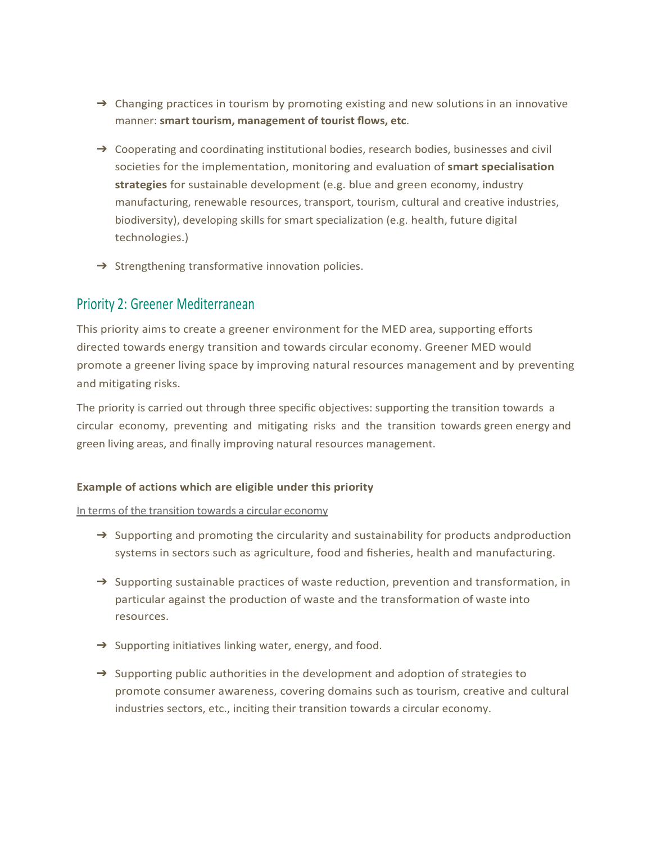- $\rightarrow$  Changing practices in tourism by promoting existing and new solutions in an innovative manner: **smart tourism, management of tourist flows, etc**.
- $\rightarrow$  Cooperating and coordinating institutional bodies, research bodies, businesses and civil societies for the implementation, monitoring and evaluation of **smart specialisation strategies** for sustainable development (e.g. blue and green economy, industry manufacturing, renewable resources, transport, tourism, cultural and creative industries, biodiversity), developing skills for smart specialization (e.g. health, future digital technologies.)
- $\rightarrow$  Strengthening transformative innovation policies.

### Priority 2: Greener Mediterranean

This priority aims to create a greener environment for the MED area, supporting efforts directed towards energy transition and towards circular economy. Greener MED would promote a greener living space by improving natural resources management and by preventing and mitigating risks.

The priority is carried out through three specific objectives: supporting the transition towards a circular economy, preventing and mitigating risks and the transition towards green energy and green living areas, and finally improving natural resources management.

#### **Example of actions which are eligible under this priority**

In terms of the transition towards a circular economy

- $\rightarrow$  Supporting and promoting the circularity and sustainability for products andproduction systems in sectors such as agriculture, food and fisheries, health and manufacturing.
- $\rightarrow$  Supporting sustainable practices of waste reduction, prevention and transformation, in particular against the production of waste and the transformation of waste into resources.
- $\rightarrow$  Supporting initiatives linking water, energy, and food.
- $\rightarrow$  Supporting public authorities in the development and adoption of strategies to promote consumer awareness, covering domains such as tourism, creative and cultural industries sectors, etc., inciting their transition towards a circular economy.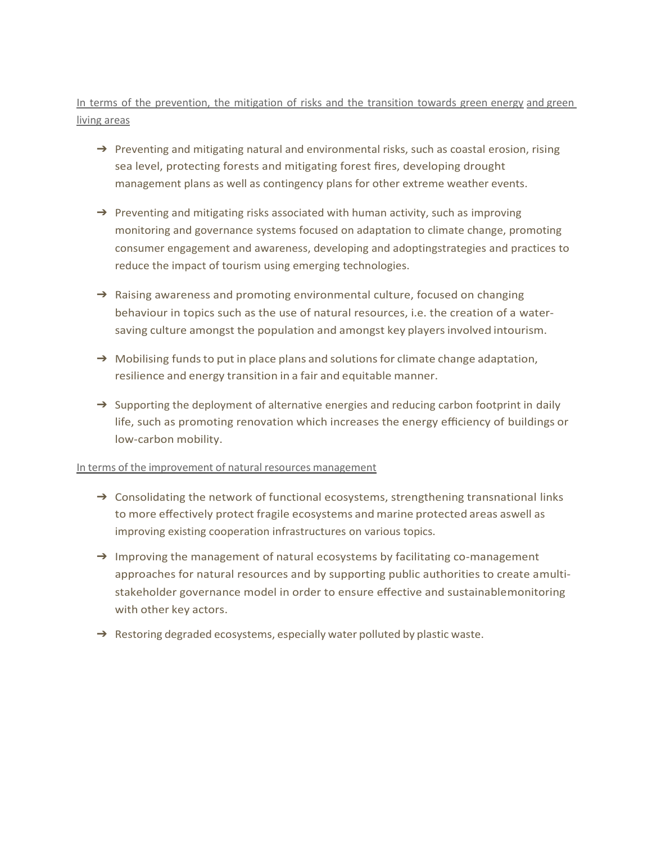### In terms of the prevention, the mitigation of risks and the transition towards green energy and green living areas

- $\rightarrow$  Preventing and mitigating natural and environmental risks, such as coastal erosion, rising sea level, protecting forests and mitigating forest fires, developing drought management plans as well as contingency plans for other extreme weather events.
- $\rightarrow$  Preventing and mitigating risks associated with human activity, such as improving monitoring and governance systems focused on adaptation to climate change, promoting consumer engagement and awareness, developing and adoptingstrategies and practices to reduce the impact of tourism using emerging technologies.
- $\rightarrow$  Raising awareness and promoting environmental culture, focused on changing behaviour in topics such as the use of natural resources, i.e. the creation of a watersaving culture amongst the population and amongst key playersinvolved intourism.
- $\rightarrow$  Mobilising funds to put in place plans and solutions for climate change adaptation, resilience and energy transition in a fair and equitable manner.
- $\rightarrow$  Supporting the deployment of alternative energies and reducing carbon footprint in daily life, such as promoting renovation which increases the energy efficiency of buildings or low-carbon mobility.

#### In terms of the improvement of natural resources management

- $\rightarrow$  Consolidating the network of functional ecosystems, strengthening transnational links to more effectively protect fragile ecosystems and marine protected areas aswell as improving existing cooperation infrastructures on various topics.
- → Improving the management of natural ecosystems by facilitating co-management approaches for natural resources and by supporting public authorities to create amultistakeholder governance model in order to ensure effective and sustainablemonitoring with other key actors.
- $\rightarrow$  Restoring degraded ecosystems, especially water polluted by plastic waste.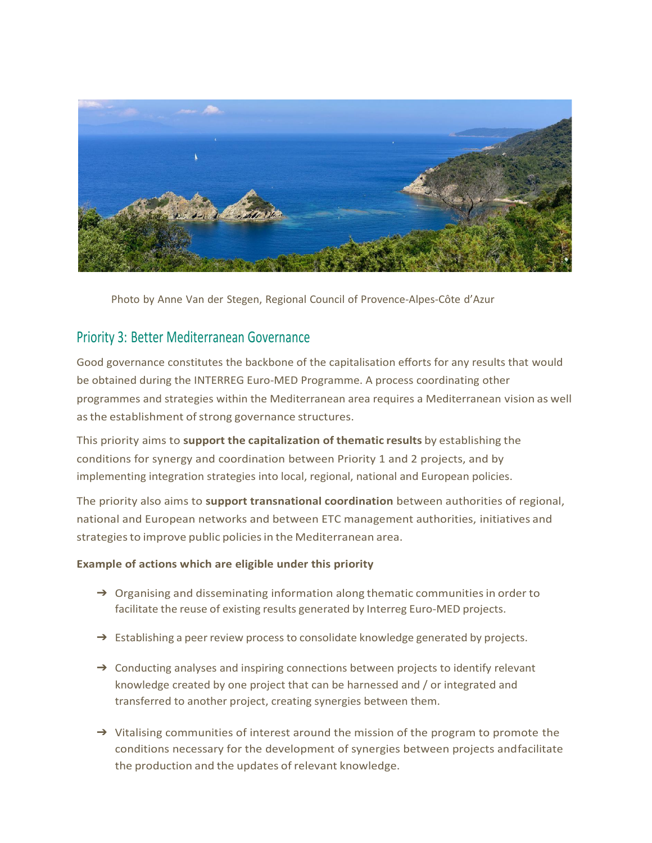

Photo by Anne Van der Stegen, Regional Council of Provence-Alpes-Côte d'Azur

#### Priority 3: Better Mediterranean Governance

Good governance constitutes the backbone of the capitalisation efforts for any results that would be obtained during the INTERREG Euro-MED Programme. A process coordinating other programmes and strategies within the Mediterranean area requires a Mediterranean vision as well as the establishment of strong governance structures.

This priority aims to **support the capitalization of thematic results** by establishing the conditions for synergy and coordination between Priority 1 and 2 projects, and by implementing integration strategies into local, regional, national and European policies.

The priority also aims to **support transnational coordination** between authorities of regional, national and European networks and between ETC management authorities, initiatives and strategies to improve public policies in the Mediterranean area.

#### **Example of actions which are eligible under this priority**

- $\rightarrow$  Organising and disseminating information along thematic communities in order to facilitate the reuse of existing results generated by Interreg Euro-MED projects.
- $\rightarrow$  Establishing a peer review process to consolidate knowledge generated by projects.
- → Conducting analyses and inspiring connections between projects to identify relevant knowledge created by one project that can be harnessed and / or integrated and transferred to another project, creating synergies between them.
- ➔ Vitalising communities of interest around the mission of the program to promote the conditions necessary for the development of synergies between projects andfacilitate the production and the updates of relevant knowledge.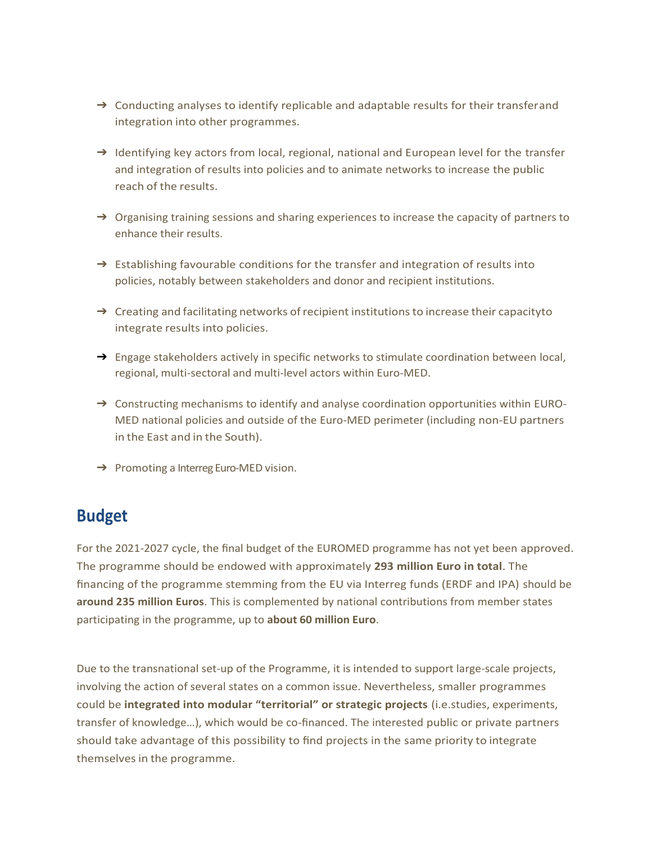- → Conducting analyses to identify replicable and adaptable results for their transferand integration into other programmes.
- → Identifying key actors from local, regional, national and European level for the transfer and integration of results into policies and to animate networks to increase the public reach of the results.
- $\rightarrow$  Organising training sessions and sharing experiences to increase the capacity of partners to enhance their results.
- $\rightarrow$  Establishing favourable conditions for the transfer and integration of results into policies, notably between stakeholders and donor and recipient institutions.
- $\rightarrow$  Creating and facilitating networks of recipient institutions to increase their capacityto integrate results into policies.
- → Engage stakeholders actively in specific networks to stimulate coordination between local, regional, multi-sectoral and multi-level actors within Euro-MED.
- → Constructing mechanisms to identify and analyse coordination opportunities within EURO-MED national policies and outside of the Euro-MED perimeter (including non-EU partners in the East and in the South).
- → Promoting a Interreg Euro-MED vision.

### **Budget**

For the 2021-2027 cycle, the final budget of the EUROMED programme has not yet been approved. The programme should be endowed with approximately **293 million Euro in total**. The financing of the programme stemming from the EU via Interreg funds (ERDF and IPA) should be **around 235 million Euros**. This is complemented by national contributions from member states participating in the programme, up to **about 60 million Euro**.

Due to the transnational set-up of the Programme, it is intended to support large-scale projects, involving the action of several states on a common issue. Nevertheless, smaller programmes could be **integrated into modular "territorial" or strategic projects** (i.e.studies, experiments, transfer of knowledge…), which would be co-financed. The interested public or private partners should take advantage of this possibility to find projects in the same priority to integrate themselves in the programme.